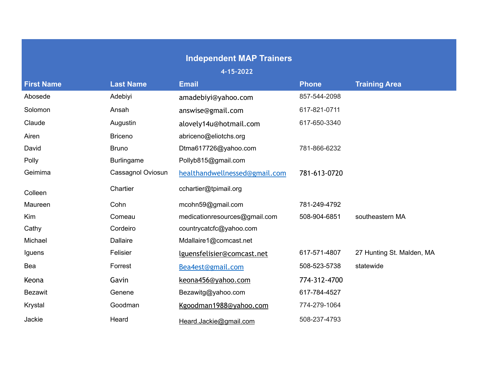## **Independent MAP Trainers**

**4-15-2022**

| <b>First Name</b> | <b>Last Name</b>  | <b>Email</b>                  | <b>Phone</b> | <b>Training Area</b>      |
|-------------------|-------------------|-------------------------------|--------------|---------------------------|
| Abosede           | Adebiyi           | amadebiyi@yahoo.com           | 857-544-2098 |                           |
| Solomon           | Ansah             | answise@gmail.com             | 617-821-0711 |                           |
| Claude            | Augustin          | alovely14u@hotmail.com        | 617-650-3340 |                           |
| Airen             | <b>Briceno</b>    | abriceno@eliotchs.org         |              |                           |
| David             | <b>Bruno</b>      | Dtma617726@yahoo.com          | 781-866-6232 |                           |
| Polly             | <b>Burlingame</b> | Pollyb815@gmail.com           |              |                           |
| Geimima           | Cassagnol Oviosun | healthandwellnessed@gmail.com | 781-613-0720 |                           |
| Colleen           | Chartier          | cchartier@tpimail.org         |              |                           |
| Maureen           | Cohn              | mcohn59@gmail.com             | 781-249-4792 |                           |
| Kim               | Comeau            | medicationresources@gmail.com | 508-904-6851 | southeastern MA           |
| Cathy             | Cordeiro          | countrycatcfc@yahoo.com       |              |                           |
| Michael           | <b>Dallaire</b>   | Mdallaire1@comcast.net        |              |                           |
| Iguens            | Felisier          | lguensfelisier@comcast.net    | 617-571-4807 | 27 Hunting St. Malden, MA |
| Bea               | Forrest           | Bea4est@gmail.com             | 508-523-5738 | statewide                 |
| Keona             | Gavin             | keona456@yahoo.com            | 774-312-4700 |                           |
| <b>Bezawit</b>    | Genene            | Bezawitg@yahoo.com            | 617-784-4527 |                           |
| Krystal           | Goodman           | Kgoodman1988@yahoo.com        | 774-279-1064 |                           |
| Jackie            | Heard             | Heard.Jackie@gmail.com        | 508-237-4793 |                           |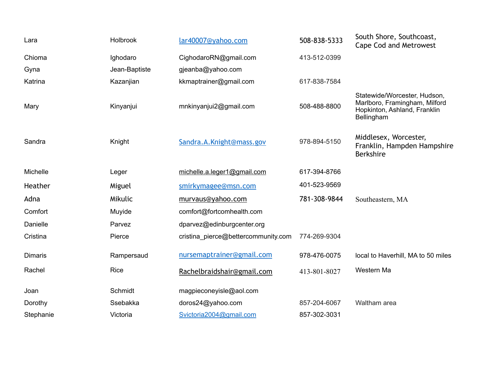| Lara           | Holbrook      | lar40007@yahoo.com                  | 508-838-5333 | South Shore, Southcoast,<br>Cape Cod and Metrowest                                                          |
|----------------|---------------|-------------------------------------|--------------|-------------------------------------------------------------------------------------------------------------|
| Chioma         | Ighodaro      | CighodaroRN@gmail.com               | 413-512-0399 |                                                                                                             |
| Gyna           | Jean-Baptiste | gjeanba@yahoo.com                   |              |                                                                                                             |
| Katrina        | Kazanjian     | kkmaptrainer@gmail.com              | 617-838-7584 |                                                                                                             |
| Mary           | Kinyanjui     | mnkinyanjui2@gmail.com              | 508-488-8800 | Statewide/Worcester, Hudson,<br>Marlboro, Framingham, Milford<br>Hopkinton, Ashland, Franklin<br>Bellingham |
| Sandra         | Knight        | Sandra.A.Knight@mass.gov            | 978-894-5150 | Middlesex, Worcester,<br>Franklin, Hampden Hampshire<br><b>Berkshire</b>                                    |
| Michelle       | Leger         | michelle.a.leger1@gmail.com         | 617-394-8766 |                                                                                                             |
| Heather        | Miguel        | smirkymagee@msn.com                 | 401-523-9569 |                                                                                                             |
| Adna           | Mikulic       | murvaus@yahoo.com                   | 781-308-9844 | Southeastern, MA                                                                                            |
| Comfort        | Muyide        | comfort@fortcomhealth.com           |              |                                                                                                             |
| Danielle       | Parvez        | dparvez@edinburgcenter.org          |              |                                                                                                             |
| Cristina       | Pierce        | cristina pierce@bettercommunity.com | 774-269-9304 |                                                                                                             |
| <b>Dimaris</b> | Rampersaud    | nursemaptrainer@gmail.com           | 978-476-0075 | local to Haverhill, MA to 50 miles                                                                          |
| Rachel         | Rice          | Rachelbraidshair@gmail.com          | 413-801-8027 | Western Ma                                                                                                  |
| Joan           | Schmidt       | magpieconeyisle@aol.com             |              |                                                                                                             |
| Dorothy        | Ssebakka      | doros24@yahoo.com                   | 857-204-6067 | Waltham area                                                                                                |
| Stephanie      | Victoria      | Svictoria2004@gmail.com             | 857-302-3031 |                                                                                                             |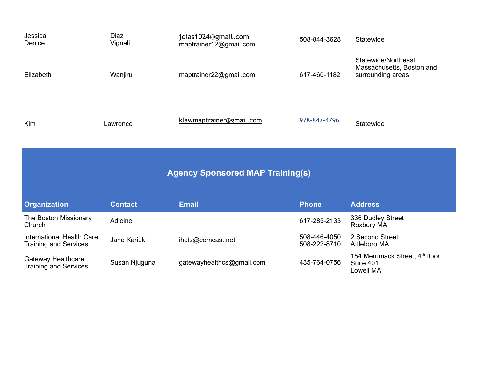| Jessica<br>Denice | Diaz<br>Vignali | jdias1024@gmail.com<br>maptrainer12@gmail.com | 508-844-3628 | Statewide                                                             |
|-------------------|-----------------|-----------------------------------------------|--------------|-----------------------------------------------------------------------|
| Elizabeth         | Wanjiru         | maptrainer22@gmail.com                        | 617-460-1182 | Statewide/Northeast<br>Massachusetts, Boston and<br>surrounding areas |
| <b>Kim</b>        | Lawrence        | klawmaptrainer@gmail.com                      | 978-847-4796 | Statewide                                                             |

| <b>Agency Sponsored MAP Training(s)</b>                   |                |                           |                              |                                                           |
|-----------------------------------------------------------|----------------|---------------------------|------------------------------|-----------------------------------------------------------|
| <b>Organization</b>                                       | <b>Contact</b> | <b>Email</b>              | <b>Phone</b>                 | <b>Address</b>                                            |
| The Boston Missionary<br>Church                           | Adleine        |                           | 617-285-2133                 | 336 Dudley Street<br>Roxbury MA                           |
| International Health Care<br><b>Training and Services</b> | Jane Kariuki   | ihcts@comcast.net         | 508-446-4050<br>508-222-8710 | 2 Second Street<br><b>Attleboro MA</b>                    |
| Gateway Healthcare<br><b>Training and Services</b>        | Susan Njuguna  | gatewayhealthcs@gmail.com | 435-764-0756                 | 154 Merrimack Street, 4th floor<br>Suite 401<br>Lowell MA |